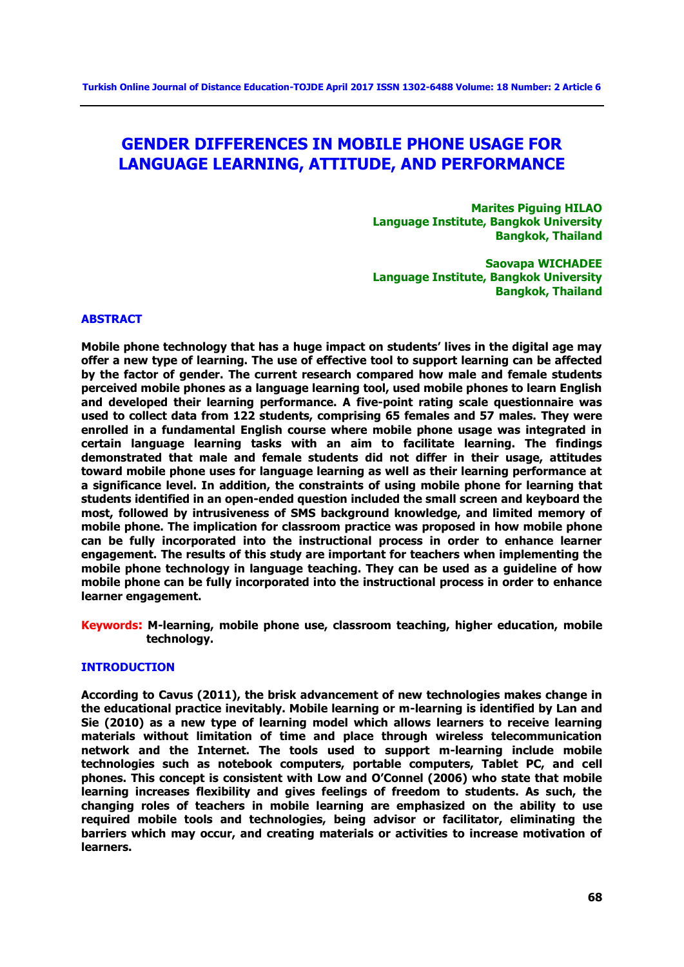# **GENDER DIFFERENCES IN MOBILE PHONE USAGE FOR LANGUAGE LEARNING, ATTITUDE, AND PERFORMANCE**

**Marites Piguing HILAO Language Institute, Bangkok University Bangkok, Thailand**

**Saovapa WICHADEE Language Institute, Bangkok University Bangkok, Thailand**

#### **ABSTRACT**

**Mobile phone technology that has a huge impact on students' lives in the digital age may offer a new type of learning. The use of effective tool to support learning can be affected by the factor of gender. The current research compared how male and female students perceived mobile phones as a language learning tool, used mobile phones to learn English and developed their learning performance. A five-point rating scale questionnaire was used to collect data from 122 students, comprising 65 females and 57 males. They were enrolled in a fundamental English course where mobile phone usage was integrated in certain language learning tasks with an aim to facilitate learning. The findings demonstrated that male and female students did not differ in their usage, attitudes toward mobile phone uses for language learning as well as their learning performance at a significance level. In addition, the constraints of using mobile phone for learning that students identified in an open-ended question included the small screen and keyboard the most, followed by intrusiveness of SMS background knowledge, and limited memory of mobile phone. The implication for classroom practice was proposed in how mobile phone can be fully incorporated into the instructional process in order to enhance learner engagement. The results of this study are important for teachers when implementing the mobile phone technology in language teaching. They can be used as a guideline of how mobile phone can be fully incorporated into the instructional process in order to enhance learner engagement.**

**Keywords: M-learning, mobile phone use, classroom teaching, higher education, mobile technology.**

## **INTRODUCTION**

**According to Cavus (2011), the brisk advancement of new technologies makes change in the educational practice inevitably. Mobile learning or m-learning is identified by Lan and Sie (2010) as a new type of learning model which allows learners to receive learning materials without limitation of time and place through wireless telecommunication network and the Internet. The tools used to support m-learning include mobile technologies such as notebook computers, portable computers, Tablet PC, and cell phones. This concept is consistent with Low and O'Connel (2006) who state that mobile learning increases flexibility and gives feelings of freedom to students. As such, the changing roles of teachers in mobile learning are emphasized on the ability to use required mobile tools and technologies, being advisor or facilitator, eliminating the barriers which may occur, and creating materials or activities to increase motivation of learners.**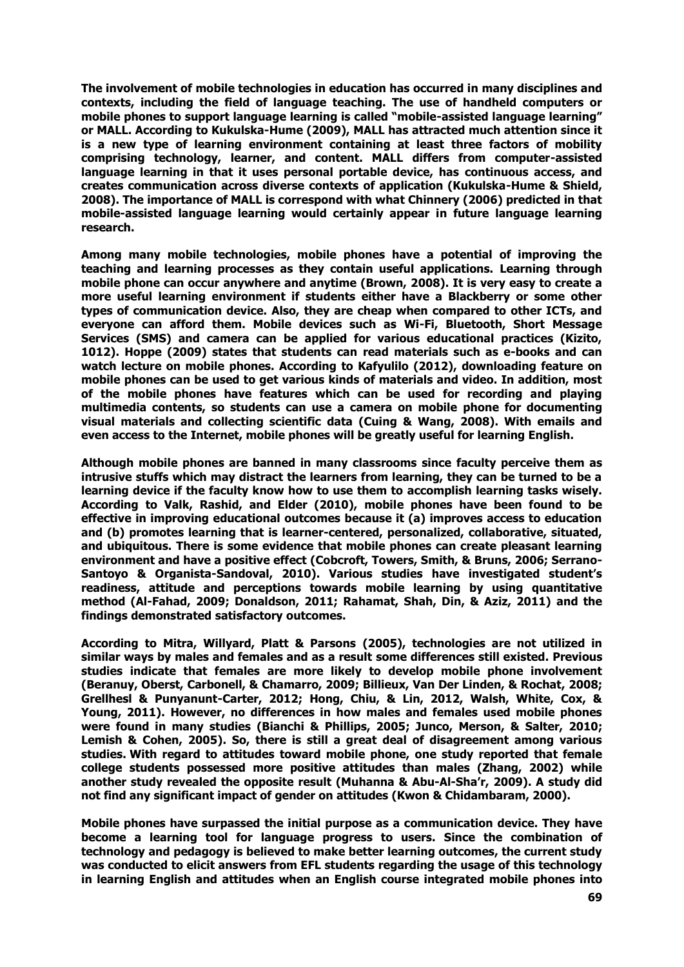**The involvement of mobile technologies in education has occurred in many disciplines and contexts, including the field of language teaching. The use of handheld computers or mobile phones to support language learning is called "mobile-assisted language learning" or MALL. According to Kukulska-Hume (2009), MALL has attracted much attention since it is a new type of learning environment containing at least three factors of mobility comprising technology, learner, and content. MALL differs from computer-assisted language learning in that it uses personal portable device, has continuous access, and creates communication across diverse contexts of application (Kukulska-Hume & Shield, 2008). The importance of MALL is correspond with what Chinnery (2006) predicted in that mobile-assisted language learning would certainly appear in future language learning research.** 

**Among many mobile technologies, mobile phones have a potential of improving the teaching and learning processes as they contain useful applications. Learning through mobile phone can occur anywhere and anytime (Brown, 2008). It is very easy to create a more useful learning environment if students either have a Blackberry or some other types of communication device. Also, they are cheap when compared to other ICTs, and everyone can afford them. Mobile devices such as Wi-Fi, Bluetooth, Short Message Services (SMS) and camera can be applied for various educational practices (Kizito, 1012). Hoppe (2009) states that students can read materials such as e-books and can watch lecture on mobile phones. According to Kafyulilo (2012), downloading feature on mobile phones can be used to get various kinds of materials and video. In addition, most of the mobile phones have features which can be used for recording and playing multimedia contents, so students can use a camera on mobile phone for documenting visual materials and collecting scientific data (Cuing & Wang, 2008). With emails and even access to the Internet, mobile phones will be greatly useful for learning English.** 

**Although mobile phones are banned in many classrooms since faculty perceive them as intrusive stuffs which may distract the learners from learning, they can be turned to be a learning device if the faculty know how to use them to accomplish learning tasks wisely. According to Valk, Rashid, and Elder (2010), mobile phones have been found to be effective in improving educational outcomes because it (a) improves access to education and (b) promotes learning that is learner-centered, personalized, collaborative, situated, and ubiquitous. There is some evidence that mobile phones can create pleasant learning environment and have a positive effect (Cobcroft, Towers, Smith, & Bruns, 2006; Serrano-Santoyo & Organista-Sandoval, 2010). Various studies have investigated student's readiness, attitude and perceptions towards mobile learning by using quantitative method (Al-Fahad, 2009; Donaldson, 2011; Rahamat, Shah, Din, & Aziz, 2011) and the findings demonstrated satisfactory outcomes.** 

**According to Mitra, Willyard, Platt & Parsons (2005), technologies are not utilized in similar ways by males and females and as a result some differences still existed. Previous studies indicate that females are more likely to develop mobile phone involvement (Beranuy, Oberst, Carbonell, & Chamarro, 2009; Billieux, Van Der Linden, & Rochat, 2008; Grellhesl & Punyanunt-Carter, 2012; Hong, Chiu, & Lin, 2012, Walsh, White, Cox, & Young, 2011). However, no differences in how males and females used mobile phones were found in many studies (Bianchi & Phillips, 2005; Junco, Merson, & Salter, 2010; Lemish & Cohen, 2005). So, there is still a great deal of disagreement among various studies. With regard to attitudes toward mobile phone, one study reported that female college students possessed more positive attitudes than males (Zhang, 2002) while another study revealed the opposite result (Muhanna & Abu-Al-Sha'r, 2009). A study did not find any significant impact of gender on attitudes (Kwon & Chidambaram, 2000).**

**Mobile phones have surpassed the initial purpose as a communication device. They have become a learning tool for language progress to users. Since the combination of technology and pedagogy is believed to make better learning outcomes, the current study was conducted to elicit answers from EFL students regarding the usage of this technology in learning English and attitudes when an English course integrated mobile phones into**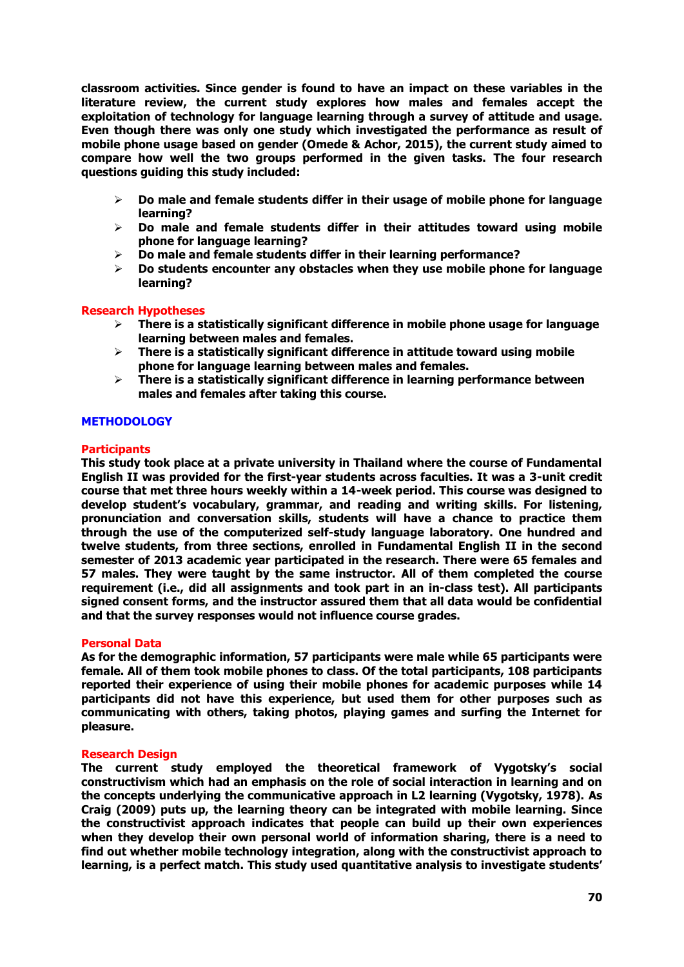**classroom activities. Since gender is found to have an impact on these variables in the literature review, the current study explores how males and females accept the exploitation of technology for language learning through a survey of attitude and usage. Even though there was only one study which investigated the performance as result of mobile phone usage based on gender (Omede & Achor, 2015), the current study aimed to compare how well the two groups performed in the given tasks. The four research questions guiding this study included:**

- **Do male and female students differ in their usage of mobile phone for language learning?**
- **Do male and female students differ in their attitudes toward using mobile phone for language learning?**
- **Do male and female students differ in their learning performance?**
- **Do students encounter any obstacles when they use mobile phone for language learning?**

### **Research Hypotheses**

- **There is a statistically significant difference in mobile phone usage for language learning between males and females.**
- **There is a statistically significant difference in attitude toward using mobile phone for language learning between males and females.**
- **There is a statistically significant difference in learning performance between males and females after taking this course.**

### **METHODOLOGY**

#### **Participants**

**This study took place at a private university in Thailand where the course of Fundamental English II was provided for the first-year students across faculties. It was a 3-unit credit course that met three hours weekly within a 14-week period. This course was designed to develop student's vocabulary, grammar, and reading and writing skills. For listening, pronunciation and conversation skills, students will have a chance to practice them through the use of the computerized self-study language laboratory. One hundred and twelve students, from three sections, enrolled in Fundamental English II in the second semester of 2013 academic year participated in the research. There were 65 females and 57 males. They were taught by the same instructor. All of them completed the course requirement (i.e., did all assignments and took part in an in-class test). All participants signed consent forms, and the instructor assured them that all data would be confidential and that the survey responses would not influence course grades.**

#### **Personal Data**

**As for the demographic information, 57 participants were male while 65 participants were female. All of them took mobile phones to class. Of the total participants, 108 participants reported their experience of using their mobile phones for academic purposes while 14 participants did not have this experience, but used them for other purposes such as communicating with others, taking photos, playing games and surfing the Internet for pleasure.**

#### **Research Design**

**The current study employed the theoretical framework of Vygotsky's social constructivism which had an emphasis on the role of social interaction in learning and on the concepts underlying the communicative approach in L2 learning (Vygotsky, 1978). As Craig (2009) puts up, the learning theory can be integrated with mobile learning. Since the constructivist approach indicates that people can build up their own experiences when they develop their own personal world of information sharing, there is a need to find out whether mobile technology integration, along with the constructivist approach to learning, is a perfect match. This study used quantitative analysis to investigate students'**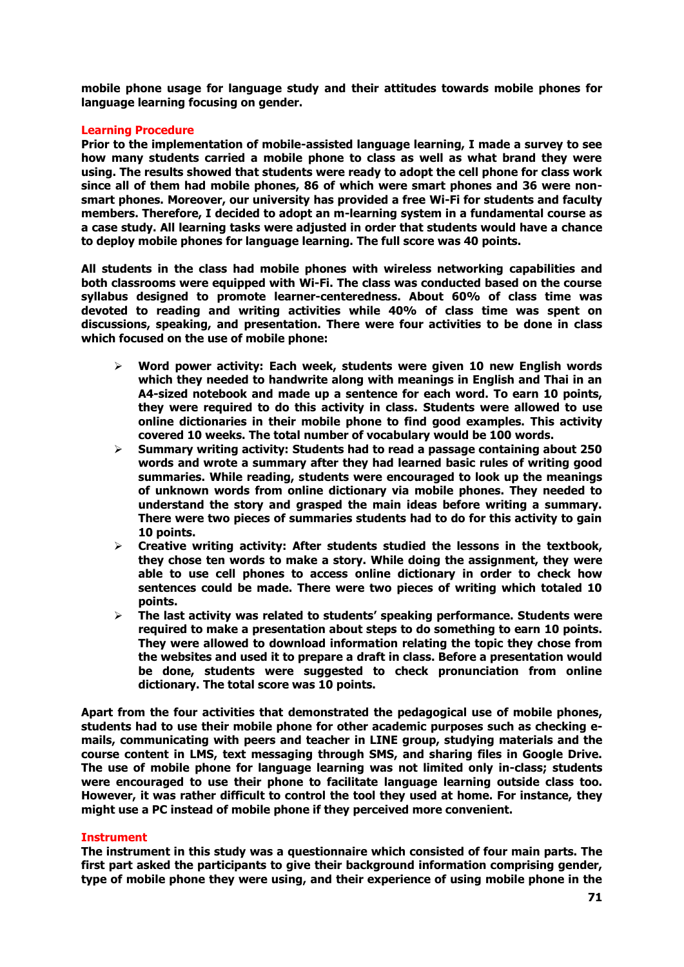**mobile phone usage for language study and their attitudes towards mobile phones for language learning focusing on gender.**

## **Learning Procedure**

**Prior to the implementation of mobile-assisted language learning, I made a survey to see how many students carried a mobile phone to class as well as what brand they were using. The results showed that students were ready to adopt the cell phone for class work since all of them had mobile phones, 86 of which were smart phones and 36 were nonsmart phones. Moreover, our university has provided a free Wi-Fi for students and faculty members. Therefore, I decided to adopt an m-learning system in a fundamental course as a case study. All learning tasks were adjusted in order that students would have a chance to deploy mobile phones for language learning. The full score was 40 points.**

**All students in the class had mobile phones with wireless networking capabilities and both classrooms were equipped with Wi-Fi. The class was conducted based on the course syllabus designed to promote learner-centeredness. About 60% of class time was devoted to reading and writing activities while 40% of class time was spent on discussions, speaking, and presentation. There were four activities to be done in class which focused on the use of mobile phone:**

- **Word power activity: Each week, students were given 10 new English words which they needed to handwrite along with meanings in English and Thai in an A4-sized notebook and made up a sentence for each word. To earn 10 points, they were required to do this activity in class. Students were allowed to use online dictionaries in their mobile phone to find good examples. This activity covered 10 weeks. The total number of vocabulary would be 100 words.**
- **Summary writing activity: Students had to read a passage containing about 250 words and wrote a summary after they had learned basic rules of writing good summaries. While reading, students were encouraged to look up the meanings of unknown words from online dictionary via mobile phones. They needed to understand the story and grasped the main ideas before writing a summary. There were two pieces of summaries students had to do for this activity to gain 10 points.**
- **Creative writing activity: After students studied the lessons in the textbook, they chose ten words to make a story. While doing the assignment, they were able to use cell phones to access online dictionary in order to check how sentences could be made. There were two pieces of writing which totaled 10 points.**
- **The last activity was related to students' speaking performance. Students were required to make a presentation about steps to do something to earn 10 points. They were allowed to download information relating the topic they chose from the websites and used it to prepare a draft in class. Before a presentation would be done, students were suggested to check pronunciation from online dictionary. The total score was 10 points.**

**Apart from the four activities that demonstrated the pedagogical use of mobile phones, students had to use their mobile phone for other academic purposes such as checking emails, communicating with peers and teacher in LINE group, studying materials and the course content in LMS, text messaging through SMS, and sharing files in Google Drive. The use of mobile phone for language learning was not limited only in-class; students were encouraged to use their phone to facilitate language learning outside class too. However, it was rather difficult to control the tool they used at home. For instance, they might use a PC instead of mobile phone if they perceived more convenient.** 

#### **Instrument**

**The instrument in this study was a questionnaire which consisted of four main parts. The first part asked the participants to give their background information comprising gender, type of mobile phone they were using, and their experience of using mobile phone in the**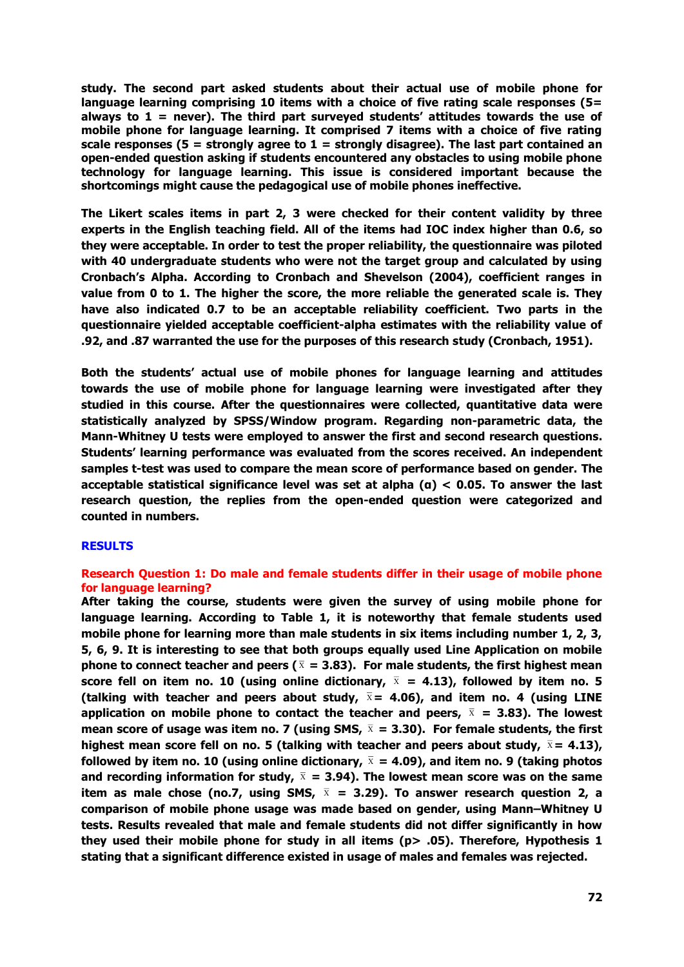**study. The second part asked students about their actual use of mobile phone for language learning comprising 10 items with a choice of five rating scale responses (5= always to 1 = never). The third part surveyed students' attitudes towards the use of mobile phone for language learning. It comprised 7 items with a choice of five rating scale responses (5 = strongly agree to 1 = strongly disagree). The last part contained an open-ended question asking if students encountered any obstacles to using mobile phone technology for language learning. This issue is considered important because the shortcomings might cause the pedagogical use of mobile phones ineffective.**

**The Likert scales items in part 2, 3 were checked for their content validity by three experts in the English teaching field. All of the items had IOC index higher than 0.6, so they were acceptable. In order to test the proper reliability, the questionnaire was piloted with 40 undergraduate students who were not the target group and calculated by using Cronbach's Alpha. According to Cronbach and Shevelson (2004), coefficient ranges in value from 0 to 1. The higher the score, the more reliable the generated scale is. They have also indicated 0.7 to be an acceptable reliability coefficient. Two parts in the questionnaire yielded acceptable coefficient-alpha estimates with the reliability value of .92, and .87 warranted the use for the purposes of this research study (Cronbach, 1951).** 

**Both the students' actual use of mobile phones for language learning and attitudes towards the use of mobile phone for language learning were investigated after they studied in this course. After the questionnaires were collected, quantitative data were statistically analyzed by SPSS/Window program. Regarding non-parametric data, the Mann-Whitney U tests were employed to answer the first and second research questions. Students' learning performance was evaluated from the scores received. An independent samples t-test was used to compare the mean score of performance based on gender. The acceptable statistical significance level was set at alpha (α) < 0.05. To answer the last research question, the replies from the open-ended question were categorized and counted in numbers.**

# **RESULTS**

# **Research Question 1: Do male and female students differ in their usage of mobile phone for language learning?**

**After taking the course, students were given the survey of using mobile phone for language learning. According to Table 1, it is noteworthy that female students used mobile phone for learning more than male students in six items including number 1, 2, 3, 5, 6, 9. It is interesting to see that both groups equally used Line Application on mobile**  phone to connect teacher and peers ( $\overline{x}$  = 3.83). For male students, the first highest mean **score fell on item no. 10 (using online dictionary, = 4.13), followed by item no. 5 (talking with teacher and peers about study, = 4.06), and item no. 4 (using LINE**  application on mobile phone to contact the teacher and peers,  $\bar{x}$  = 3.83). The lowest **mean score of usage was item no. 7 (using SMS, = 3.30). For female students, the first**  highest mean score fell on no. 5 (talking with teacher and peers about study,  $\bar{x}$  = 4.13), **followed by item no. 10 (using online dictionary, = 4.09), and item no. 9 (taking photos and recording information for study, = 3.94). The lowest mean score was on the same item as male chose (no.7, using SMS, = 3.29). To answer research question 2, a comparison of mobile phone usage was made based on gender, using Mann–Whitney U tests. Results revealed that male and female students did not differ significantly in how they used their mobile phone for study in all items (p> .05). Therefore, Hypothesis 1 stating that a significant difference existed in usage of males and females was rejected.**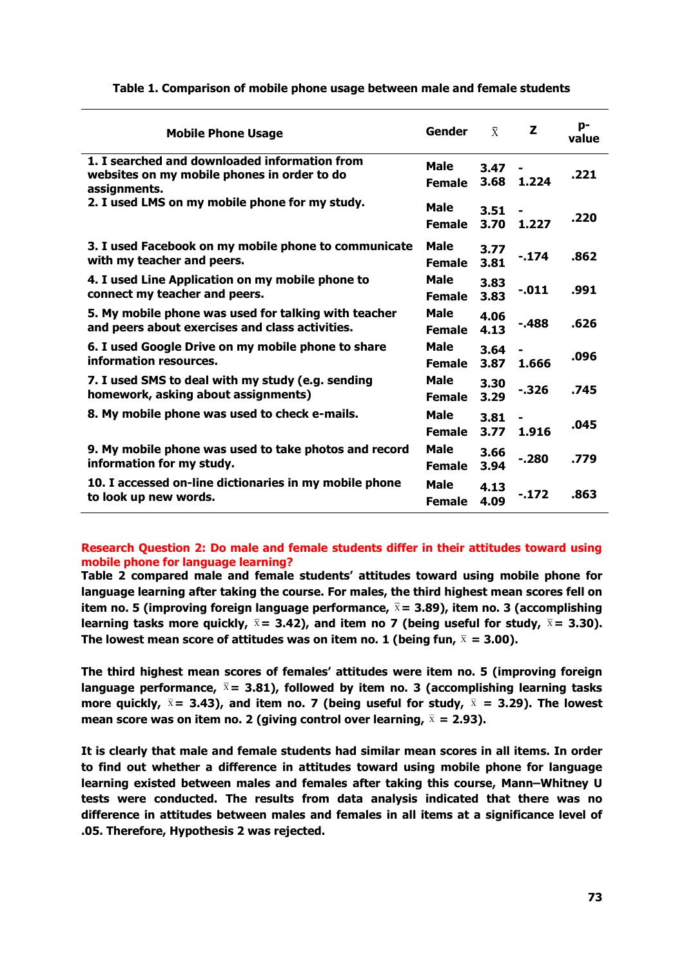| <b>Mobile Phone Usage</b>                                                                                    | <b>Gender</b>                | $\bar{X}$    | z                       | p-<br>value |
|--------------------------------------------------------------------------------------------------------------|------------------------------|--------------|-------------------------|-------------|
| 1. I searched and downloaded information from<br>websites on my mobile phones in order to do<br>assignments. | Male<br><b>Female</b>        | 3.47<br>3.68 | 1.224                   | .221        |
| 2. I used LMS on my mobile phone for my study.                                                               | Male<br><b>Female</b>        | 3.51<br>3.70 | -<br>1.227              | .220        |
| 3. I used Facebook on my mobile phone to communicate<br>with my teacher and peers.                           | <b>Male</b><br><b>Female</b> | 3.77<br>3.81 | -.174                   | .862        |
| 4. I used Line Application on my mobile phone to<br>connect my teacher and peers.                            | Male<br><b>Female</b>        | 3.83<br>3.83 | $-011$                  | .991        |
| 5. My mobile phone was used for talking with teacher<br>and peers about exercises and class activities.      | Male<br><b>Female</b>        | 4.06<br>4.13 | $-488$                  | .626        |
| 6. I used Google Drive on my mobile phone to share<br>information resources.                                 | Male<br><b>Female</b>        | 3.64<br>3.87 | $\blacksquare$<br>1.666 | .096        |
| 7. I used SMS to deal with my study (e.g. sending<br>homework, asking about assignments)                     | Male<br><b>Female</b>        | 3.30<br>3.29 | $-326$                  | .745        |
| 8. My mobile phone was used to check e-mails.                                                                | Male<br><b>Female</b>        | 3.81<br>3.77 | 1.916                   | .045        |
| 9. My mobile phone was used to take photos and record<br>information for my study.                           | Male<br><b>Female</b>        | 3.66<br>3.94 | $-280$                  | .779        |
| 10. I accessed on-line dictionaries in my mobile phone<br>to look up new words.                              | <b>Male</b><br><b>Female</b> | 4.13<br>4.09 | $-172$                  | .863        |

# **Table 1. Comparison of mobile phone usage between male and female students**

# **Research Question 2: Do male and female students differ in their attitudes toward using mobile phone for language learning?**

**Table 2 compared male and female students' attitudes toward using mobile phone for language learning after taking the course. For males, the third highest mean scores fell on item no. 5 (improving foreign language performance, = 3.89), item no. 3 (accomplishing learning tasks more quickly, = 3.42), and item no 7 (being useful for study, = 3.30). The lowest mean score of attitudes was on item no. 1 (being fun, = 3.00).**

**The third highest mean scores of females' attitudes were item no. 5 (improving foreign language performance, = 3.81), followed by item no. 3 (accomplishing learning tasks**  more quickly,  $\bar{x}$  = 3.43), and item no. 7 (being useful for study,  $\bar{x}$  = 3.29). The lowest **mean score was on item no. 2 (giving control over learning, = 2.93).**

**It is clearly that male and female students had similar mean scores in all items. In order to find out whether a difference in attitudes toward using mobile phone for language learning existed between males and females after taking this course, Mann–Whitney U tests were conducted. The results from data analysis indicated that there was no difference in attitudes between males and females in all items at a significance level of .05. Therefore, Hypothesis 2 was rejected.**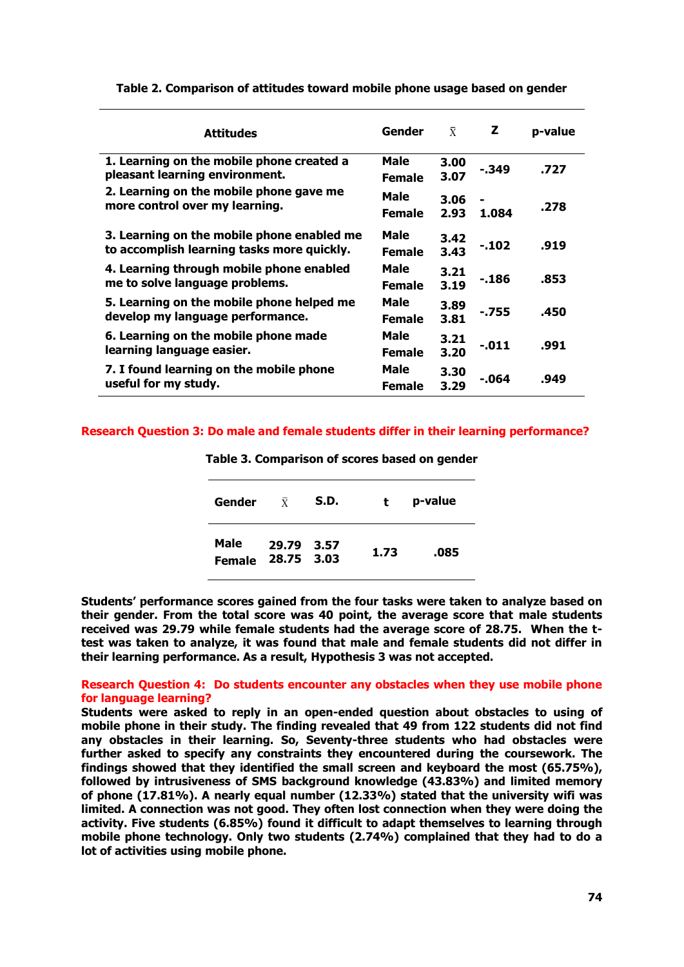| <b>Attitudes</b>                                                                         | Gender                | $\bar{X}$    | z      | p-value |
|------------------------------------------------------------------------------------------|-----------------------|--------------|--------|---------|
| 1. Learning on the mobile phone created a<br>pleasant learning environment.              | Male<br><b>Female</b> | 3.00<br>3.07 | - 349  | .727    |
| 2. Learning on the mobile phone gave me<br>more control over my learning.                | Male<br><b>Female</b> | 3.06<br>2.93 | 1.084  | .278    |
| 3. Learning on the mobile phone enabled me<br>to accomplish learning tasks more quickly. | Male<br><b>Female</b> | 3.42<br>3.43 | $-102$ | .919    |
| 4. Learning through mobile phone enabled<br>me to solve language problems.               | Male<br><b>Female</b> | 3.21<br>3.19 | - 186  | .853    |
| 5. Learning on the mobile phone helped me<br>develop my language performance.            | Male<br><b>Female</b> | 3.89<br>3.81 | $-755$ | .450    |
| 6. Learning on the mobile phone made<br>learning language easier.                        | Male<br><b>Female</b> | 3.21<br>3.20 | $-011$ | .991    |
| 7. I found learning on the mobile phone<br>useful for my study.                          | Male<br><b>Female</b> | 3.30<br>3.29 | -.064  | .949    |

### **Table 2. Comparison of attitudes toward mobile phone usage based on gender**

### **Research Question 3: Do male and female students differ in their learning performance?**

| Gender                | $\overline{X}$           | S.D. | t.   | p-value |
|-----------------------|--------------------------|------|------|---------|
| Male<br><b>Female</b> | 29.79 3.57<br>28.75 3.03 |      | 1.73 | .085    |

**Table 3. Comparison of scores based on gender**

**Students' performance scores gained from the four tasks were taken to analyze based on their gender. From the total score was 40 point, the average score that male students received was 29.79 while female students had the average score of 28.75. When the ttest was taken to analyze, it was found that male and female students did not differ in their learning performance. As a result, Hypothesis 3 was not accepted.**

## **Research Question 4: Do students encounter any obstacles when they use mobile phone for language learning?**

**Students were asked to reply in an open-ended question about obstacles to using of mobile phone in their study. The finding revealed that 49 from 122 students did not find any obstacles in their learning. So, Seventy-three students who had obstacles were further asked to specify any constraints they encountered during the coursework. The findings showed that they identified the small screen and keyboard the most (65.75%), followed by intrusiveness of SMS background knowledge (43.83%) and limited memory of phone (17.81%). A nearly equal number (12.33%) stated that the university wifi was limited. A connection was not good. They often lost connection when they were doing the activity. Five students (6.85%) found it difficult to adapt themselves to learning through mobile phone technology. Only two students (2.74%) complained that they had to do a lot of activities using mobile phone.**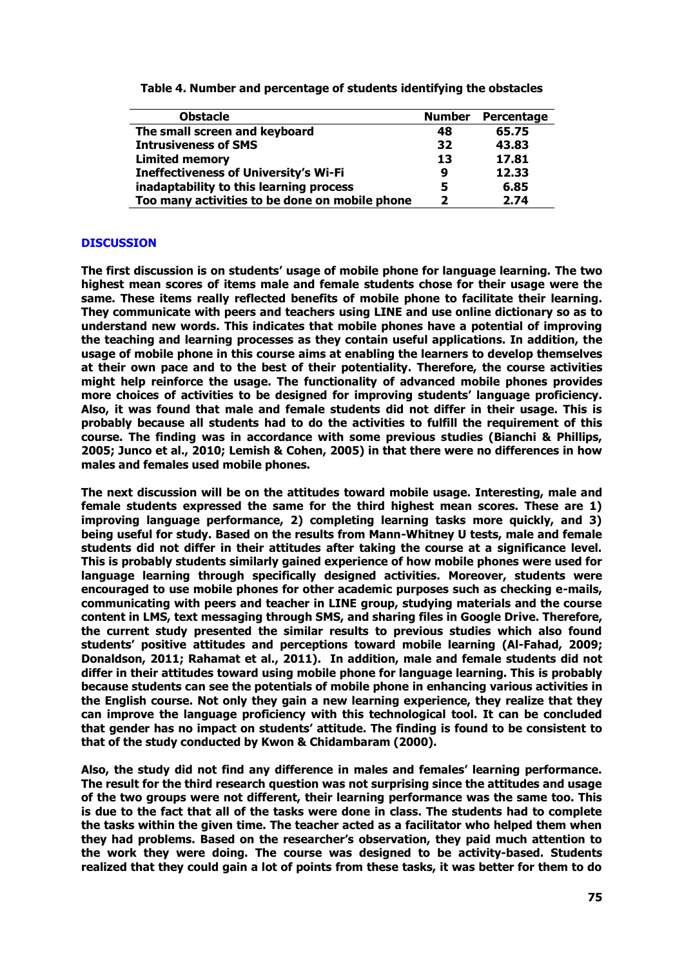| <b>Obstacle</b>                                | <b>Number</b> | Percentage |
|------------------------------------------------|---------------|------------|
| The small screen and keyboard                  | 48            | 65.75      |
| <b>Intrusiveness of SMS</b>                    | 32            | 43.83      |
| <b>Limited memory</b>                          | 13            | 17.81      |
| <b>Ineffectiveness of University's Wi-Fi</b>   | 9             | 12.33      |
| inadaptability to this learning process        | 5             | 6.85       |
| Too many activities to be done on mobile phone |               | 2.74       |

**Table 4. Number and percentage of students identifying the obstacles**

# **DISCUSSION**

**The first discussion is on students' usage of mobile phone for language learning. The two highest mean scores of items male and female students chose for their usage were the same. These items really reflected benefits of mobile phone to facilitate their learning. They communicate with peers and teachers using LINE and use online dictionary so as to understand new words. This indicates that mobile phones have a potential of improving the teaching and learning processes as they contain useful applications. In addition, the usage of mobile phone in this course aims at enabling the learners to develop themselves at their own pace and to the best of their potentiality. Therefore, the course activities might help reinforce the usage. The functionality of advanced mobile phones provides more choices of activities to be designed for improving students' language proficiency. Also, it was found that male and female students did not differ in their usage. This is probably because all students had to do the activities to fulfill the requirement of this course. The finding was in accordance with some previous studies (Bianchi & Phillips, 2005; Junco et al., 2010; Lemish & Cohen, 2005) in that there were no differences in how males and females used mobile phones.**

**The next discussion will be on the attitudes toward mobile usage. Interesting, male and female students expressed the same for the third highest mean scores. These are 1) improving language performance, 2) completing learning tasks more quickly, and 3) being useful for study. Based on the results from Mann-Whitney U tests, male and female students did not differ in their attitudes after taking the course at a significance level. This is probably students similarly gained experience of how mobile phones were used for language learning through specifically designed activities. Moreover, students were encouraged to use mobile phones for other academic purposes such as checking e-mails, communicating with peers and teacher in LINE group, studying materials and the course content in LMS, text messaging through SMS, and sharing files in Google Drive. Therefore, the current study presented the similar results to previous studies which also found students' positive attitudes and perceptions toward mobile learning (Al-Fahad, 2009; Donaldson, 2011; Rahamat et al., 2011). In addition, male and female students did not differ in their attitudes toward using mobile phone for language learning. This is probably because students can see the potentials of mobile phone in enhancing various activities in the English course. Not only they gain a new learning experience, they realize that they can improve the language proficiency with this technological tool. It can be concluded that gender has no impact on students' attitude. The finding is found to be consistent to that of the study conducted by Kwon & Chidambaram (2000).**

**Also, the study did not find any difference in males and females' learning performance. The result for the third research question was not surprising since the attitudes and usage of the two groups were not different, their learning performance was the same too. This is due to the fact that all of the tasks were done in class. The students had to complete the tasks within the given time. The teacher acted as a facilitator who helped them when they had problems. Based on the researcher's observation, they paid much attention to the work they were doing. The course was designed to be activity-based. Students realized that they could gain a lot of points from these tasks, it was better for them to do**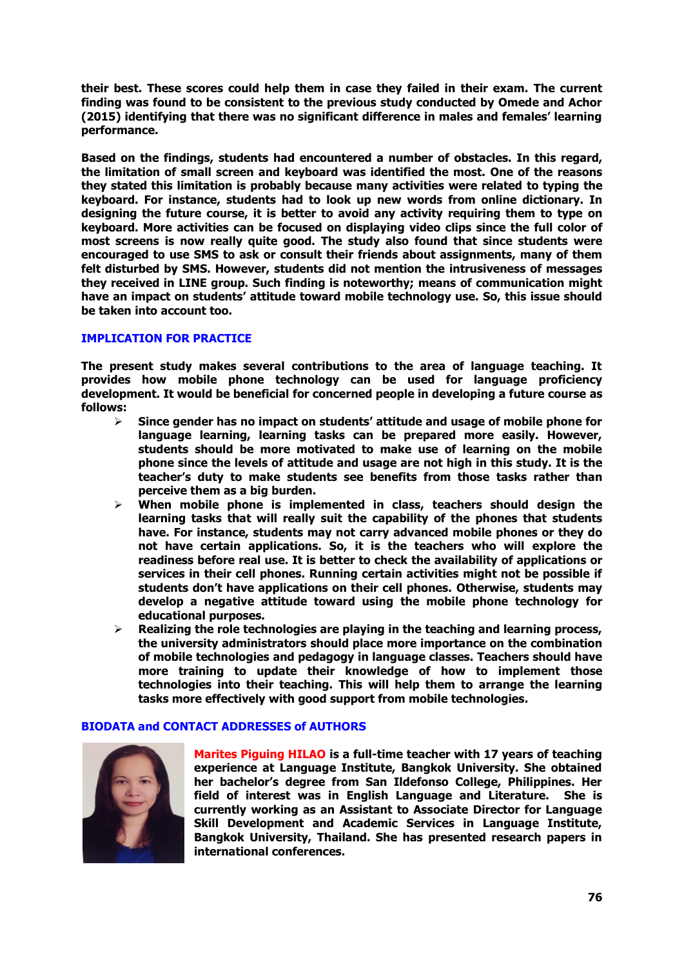**their best. These scores could help them in case they failed in their exam. The current finding was found to be consistent to the previous study conducted by Omede and Achor (2015) identifying that there was no significant difference in males and females' learning performance.**

**Based on the findings, students had encountered a number of obstacles. In this regard, the limitation of small screen and keyboard was identified the most. One of the reasons they stated this limitation is probably because many activities were related to typing the keyboard. For instance, students had to look up new words from online dictionary. In designing the future course, it is better to avoid any activity requiring them to type on keyboard. More activities can be focused on displaying video clips since the full color of most screens is now really quite good. The study also found that since students were encouraged to use SMS to ask or consult their friends about assignments, many of them felt disturbed by SMS. However, students did not mention the intrusiveness of messages they received in LINE group. Such finding is noteworthy; means of communication might have an impact on students' attitude toward mobile technology use. So, this issue should be taken into account too.**

# **IMPLICATION FOR PRACTICE**

**The present study makes several contributions to the area of language teaching. It provides how mobile phone technology can be used for language proficiency development. It would be beneficial for concerned people in developing a future course as follows:**

- **Since gender has no impact on students' attitude and usage of mobile phone for language learning, learning tasks can be prepared more easily. However, students should be more motivated to make use of learning on the mobile phone since the levels of attitude and usage are not high in this study. It is the teacher's duty to make students see benefits from those tasks rather than perceive them as a big burden.**
- **When mobile phone is implemented in class, teachers should design the learning tasks that will really suit the capability of the phones that students have. For instance, students may not carry advanced mobile phones or they do not have certain applications. So, it is the teachers who will explore the readiness before real use. It is better to check the availability of applications or services in their cell phones. Running certain activities might not be possible if students don't have applications on their cell phones. Otherwise, students may develop a negative attitude toward using the mobile phone technology for educational purposes.**
- **Realizing the role technologies are playing in the teaching and learning process, the university administrators should place more importance on the combination of mobile technologies and pedagogy in language classes. Teachers should have more training to update their knowledge of how to implement those technologies into their teaching. This will help them to arrange the learning tasks more effectively with good support from mobile technologies.**

# **BIODATA and CONTACT ADDRESSES of AUTHORS**



**Marites Piguing HILAO is a full-time teacher with 17 years of teaching experience at Language Institute, Bangkok University. She obtained her bachelor's degree from San Ildefonso College, Philippines. Her field of interest was in English Language and Literature. She is currently working as an Assistant to Associate Director for Language Skill Development and Academic Services in Language Institute, Bangkok University, Thailand. She has presented research papers in international conferences.**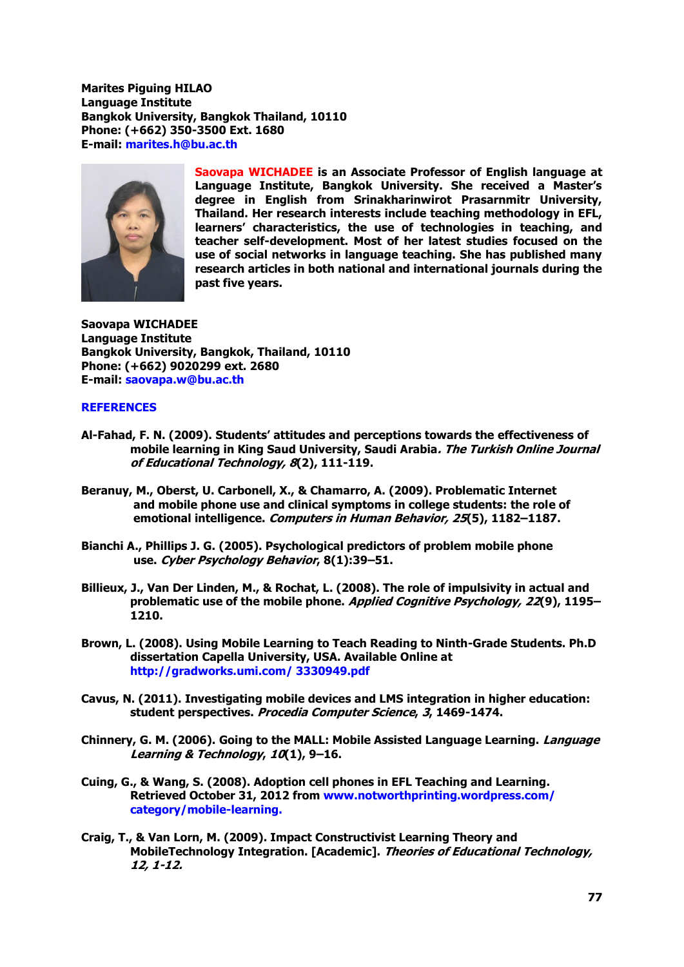**Marites Piguing HILAO Language Institute Bangkok University, Bangkok Thailand, 10110 Phone: (+662) 350-3500 Ext. 1680 E-mail: [marites.h@bu.ac.th](mailto:marites.h@bu.ac.th)**



**Saovapa WICHADEE is an Associate Professor of English language at Language Institute, Bangkok University. She received a Master's degree in English from Srinakharinwirot Prasarnmitr University, Thailand. Her research interests include teaching methodology in EFL, learners' characteristics, the use of technologies in teaching, and teacher self-development. Most of her latest studies focused on the use of social networks in language teaching. She has published many research articles in both national and international journals during the past five years.** 

**Saovapa WICHADEE Language Institute Bangkok University, Bangkok, Thailand, 10110 Phone: (+662) 9020299 ext. 2680 E-mail: saovapa.w@bu.ac.th**

### **REFERENCES**

- **Al-Fahad, F. N. (2009). Students' attitudes and perceptions towards the effectiveness of mobile learning in King Saud University, Saudi Arabia. The Turkish Online Journal of Educational Technology, 8(2), 111-119.**
- **Beranuy, M., Oberst, U. Carbonell, X., & Chamarro, A. (2009). Problematic Internet and mobile phone use and clinical symptoms in college students: the role of emotional intelligence. Computers in Human Behavior, 25(5), 1182–1187.**
- **Bianchi A., Phillips J. G. (2005). Psychological predictors of problem mobile phone use. Cyber Psychology Behavior, 8(1):39–51.**
- **Billieux, J., Van Der Linden, M., & Rochat, L. (2008). The role of impulsivity in actual and problematic use of the mobile phone. Applied Cognitive Psychology, 22(9), 1195– 1210.**
- **Brown, L. (2008). Using Mobile Learning to Teach Reading to Ninth-Grade Students. Ph.D dissertation Capella University, USA. Available Online at [http://gradworks.umi.com/ 3330949.pdf](http://gradworks.umi.com/%203330949.pdf)**
- **Cavus, N. (2011). Investigating mobile devices and LMS integration in higher education: student perspectives. Procedia Computer Science, 3, 1469-1474.**
- **Chinnery, G. M. (2006). Going to the MALL: Mobile Assisted Language Learning. Language Learning & Technology, 10(1), 9–16.**
- **Cuing, G., & Wang, S. (2008). Adoption cell phones in EFL Teaching and Learning. Retrieved October 31, 2012 from [www.notworthprinting.wordpress.com/](http://www.notworthprinting.wordpress.com/%20category/mobile-learning)  [category/mobile-learning.](http://www.notworthprinting.wordpress.com/%20category/mobile-learning)**
- **Craig, T., & Van Lorn, M. (2009). Impact Constructivist Learning Theory and MobileTechnology Integration. [Academic]. Theories of Educational Technology, 12, 1-12.**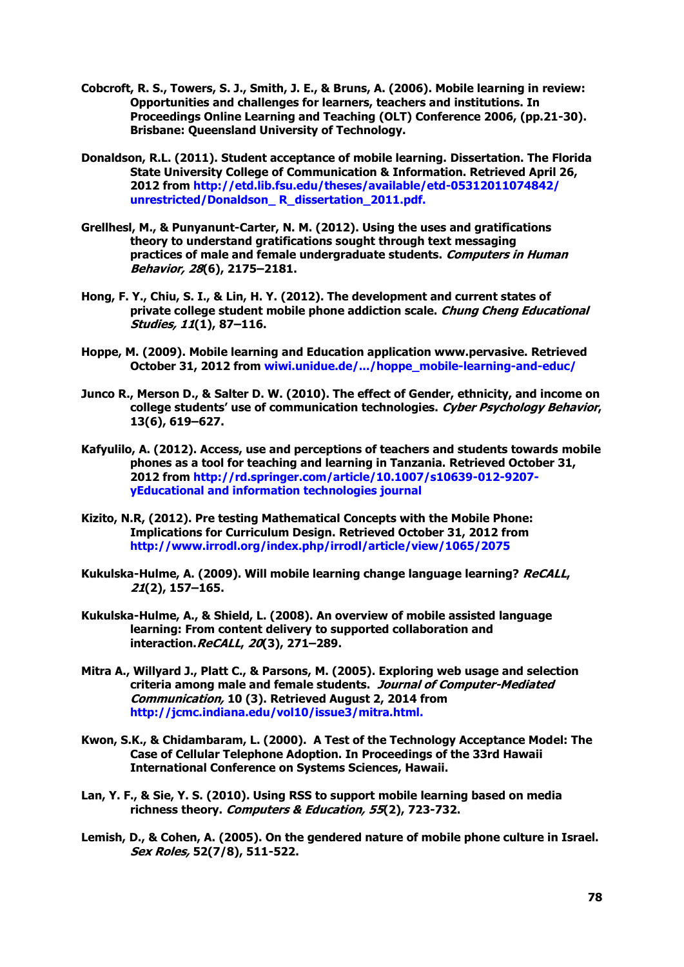- **Cobcroft, R. S., Towers, S. J., Smith, J. E., & Bruns, A. (2006). Mobile learning in review: Opportunities and challenges for learners, teachers and institutions. In Proceedings Online Learning and Teaching (OLT) Conference 2006, (pp.21-30). Brisbane: Queensland University of Technology.**
- **Donaldson, R.L. (2011). Student acceptance of mobile learning. Dissertation. The Florida State University College of Communication & Information. Retrieved April 26, 2012 from <http://etd.lib.fsu.edu/theses/available/etd-05312011074842/> unrestricted/Donaldson\_ R\_dissertation\_2011.pdf.**
- **Grellhesl, M., & Punyanunt-Carter, N. M. (2012). Using the uses and gratifications theory to understand gratifications sought through text messaging practices of male and female undergraduate students. Computers in Human Behavior, 28(6), 2175–2181.**
- **Hong, F. Y., Chiu, S. I., & Lin, H. Y. (2012). The development and current states of private college student mobile phone addiction scale. Chung Cheng Educational Studies, 11(1), 87–116.**
- **Hoppe, M. (2009). Mobile learning and Education application www.pervasive. Retrieved October 31, 2012 from wiwi.unidue.de/.../hoppe\_mobile-learning-and-educ/**
- **Junco R., Merson D., & Salter D. W. (2010). The effect of Gender, ethnicity, and income on college students' use of communication technologies. Cyber Psychology Behavior, 13(6), 619–627.**
- **Kafyulilo, A. (2012). Access, use and perceptions of teachers and students towards mobile phones as a tool for teaching and learning in Tanzania. Retrieved October 31, 2012 from [http://rd.springer.com/article/10.1007/s10639-012-9207](http://rd.springer.com/article/10.1007/s10639-012-9207-) yEducational and information technologies journal**
- **Kizito, N.R, (2012). Pre testing Mathematical Concepts with the Mobile Phone: Implications for Curriculum Design. Retrieved October 31, 2012 from http://www.irrodl.org/index.php/irrodl/article/view/1065/2075**
- **Kukulska-Hulme, A. (2009). Will mobile learning change language learning? ReCALL, 21(2), 157–165.**
- **Kukulska-Hulme, A., & Shield, L. (2008). An overview of mobile assisted language learning: From content delivery to supported collaboration and interaction.ReCALL, 20(3), 271–289.**
- **Mitra A., Willyard J., Platt C., & Parsons, M. (2005). Exploring web usage and selection criteria among male and female students. Journal of Computer-Mediated Communication, 10 (3). Retrieved August 2, 2014 from http://jcmc.indiana.edu/vol10/issue3/mitra.html.**
- **Kwon, S.K., & Chidambaram, L. (2000). A Test of the Technology Acceptance Model: The Case of Cellular Telephone Adoption. In Proceedings of the 33rd Hawaii International Conference on Systems Sciences, Hawaii.**
- **Lan, Y. F., & Sie, Y. S. (2010). Using RSS to support mobile learning based on media richness theory. Computers & Education, 55(2), 723-732.**
- **Lemish, D., & Cohen, A. (2005). On the gendered nature of mobile phone culture in Israel. Sex Roles, 52(7/8), 511-522.**